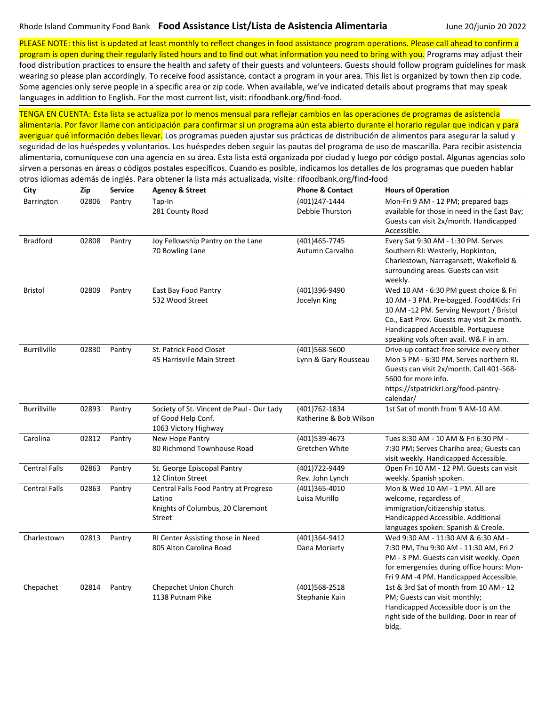PLEASE NOTE: this list is updated at least monthly to reflect changes in food assistance program operations. Please call ahead to confirm a program is open during their regularly listed hours and to find out what information you need to bring with you. Programs may adjust their

food distribution practices to ensure the health and safety of their guests and volunteers. Guests should follow program guidelines for mask wearing so please plan accordingly. To receive food assistance, contact a program in your area. This list is organized by town then zip code. Some agencies only serve people in a specific area or zip code. When available, we've indicated details about programs that may speak languages in addition to English. For the most current list, visit: rifoodbank.org/find-food.

TENGA EN CUENTA: Esta lista se actualiza por lo menos mensual para reflejar cambios en las operaciones de programas de asistencia alimentaria. Por favor llame con anticipación para confirmar si un programa aún esta abierto durante el horario regular que indican y para averiguar qué información debes llevar. Los programas pueden ajustar sus prácticas de distribución de alimentos para asegurar la salud y seguridad de los huéspedes y voluntarios. Los huéspedes deben seguir las pautas del programa de uso de mascarilla. Para recibir asistencia alimentaria, comuníquese con una agencia en su área. Esta lista está organizada por ciudad y luego por código postal. Algunas agencias solo

sirven a personas en áreas o códigos postales específicos. Cuando es posible, indicamos los detalles de los programas que pueden hablar

| City                 | Zip   | <b>Service</b> | <b>Agency &amp; Street</b>                                                                     | <b>Phone &amp; Contact</b>               | <b>Hours of Operation</b>                                                                                                                                                                                                                                   |
|----------------------|-------|----------------|------------------------------------------------------------------------------------------------|------------------------------------------|-------------------------------------------------------------------------------------------------------------------------------------------------------------------------------------------------------------------------------------------------------------|
| Barrington           | 02806 | Pantry         | Tap-In<br>281 County Road                                                                      | (401)247-1444<br>Debbie Thurston         | Mon-Fri 9 AM - 12 PM; prepared bags<br>available for those in need in the East Bay;<br>Guests can visit 2x/month. Handicapped<br>Accessible.                                                                                                                |
| <b>Bradford</b>      | 02808 | Pantry         | Joy Fellowship Pantry on the Lane<br>70 Bowling Lane                                           | (401)465-7745<br>Autumn Carvalho         | Every Sat 9:30 AM - 1:30 PM. Serves<br>Southern RI: Westerly, Hopkinton,<br>Charlestown, Narragansett, Wakefield &<br>surrounding areas. Guests can visit<br>weekly.                                                                                        |
| <b>Bristol</b>       | 02809 | Pantry         | East Bay Food Pantry<br>532 Wood Street                                                        | (401)396-9490<br>Jocelyn King            | Wed 10 AM - 6:30 PM guest choice & Fri<br>10 AM - 3 PM. Pre-bagged. Food4Kids: Fri<br>10 AM -12 PM. Serving Newport / Bristol<br>Co., East Prov. Guests may visit 2x month.<br>Handicapped Accessible. Portuguese<br>speaking vols often avail. W& F in am. |
| <b>Burrillville</b>  | 02830 | Pantry         | St. Patrick Food Closet<br>45 Harrisville Main Street                                          | (401)568-5600<br>Lynn & Gary Rousseau    | Drive-up contact-free service every other<br>Mon 5 PM - 6:30 PM. Serves northern RI.<br>Guests can visit 2x/month. Call 401-568-<br>5600 for more info.<br>https://stpatrickri.org/food-pantry-<br>calendar/                                                |
| <b>Burrillville</b>  | 02893 | Pantry         | Society of St. Vincent de Paul - Our Lady<br>of Good Help Conf.<br>1063 Victory Highway        | (401) 762-1834<br>Katherine & Bob Wilson | 1st Sat of month from 9 AM-10 AM.                                                                                                                                                                                                                           |
| Carolina             | 02812 | Pantry         | New Hope Pantry<br>80 Richmond Townhouse Road                                                  | (401)539-4673<br>Gretchen White          | Tues 8:30 AM - 10 AM & Fri 6:30 PM -<br>7:30 PM; Serves Chariho area; Guests can<br>visit weekly. Handicapped Accessible.                                                                                                                                   |
| <b>Central Falls</b> | 02863 | Pantry         | St. George Episcopal Pantry<br>12 Clinton Street                                               | (401)722-9449<br>Rev. John Lynch         | Open Fri 10 AM - 12 PM. Guests can visit<br>weekly. Spanish spoken.                                                                                                                                                                                         |
| <b>Central Falls</b> | 02863 | Pantry         | Central Falls Food Pantry at Progreso<br>Latino<br>Knights of Columbus, 20 Claremont<br>Street | (401)365-4010<br>Luisa Murillo           | Mon & Wed 10 AM - 1 PM. All are<br>welcome, regardless of<br>immigration/citizenship status.<br>Handicapped Accessible. Additional<br>languages spoken: Spanish & Creole.                                                                                   |
| Charlestown          | 02813 | Pantry         | RI Center Assisting those in Need<br>805 Alton Carolina Road                                   | (401)364-9412<br>Dana Moriarty           | Wed 9:30 AM - 11:30 AM & 6:30 AM -<br>7:30 PM, Thu 9:30 AM - 11:30 AM, Fri 2<br>PM - 3 PM. Guests can visit weekly. Open<br>for emergencies during office hours: Mon-<br>Fri 9 AM -4 PM. Handicapped Accessible.                                            |
| Chepachet            | 02814 | Pantry         | Chepachet Union Church<br>1138 Putnam Pike                                                     | (401)568-2518<br>Stephanie Kain          | 1st & 3rd Sat of month from 10 AM - 12<br>PM; Guests can visit monthly;<br>Handicapped Accessible door is on the<br>right side of the building. Door in rear of<br>bldg.                                                                                    |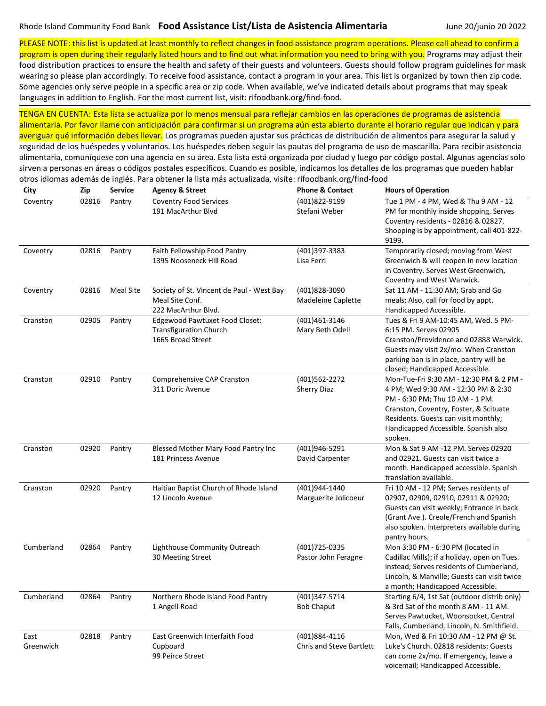otros idiomas además de inglés. Para obtener la lista más actualizada, visite: rifoodbank.org/find-food

PLEASE NOTE: this list is updated at least monthly to reflect changes in food assistance program operations. Please call ahead to confirm a program is open during their regularly listed hours and to find out what information you need to bring with you. Programs may adjust their

food distribution practices to ensure the health and safety of their guests and volunteers. Guests should follow program guidelines for mask wearing so please plan accordingly. To receive food assistance, contact a program in your area. This list is organized by town then zip code. Some agencies only serve people in a specific area or zip code. When available, we've indicated details about programs that may speak languages in addition to English. For the most current list, visit: rifoodbank.org/find-food.

| City              | Zip   | Service          | <b>Agency &amp; Street</b>                                                           | <b>Phone &amp; Contact</b>                       | <b>Hours of Operation</b>                                                                                                                                                                                                                              |
|-------------------|-------|------------------|--------------------------------------------------------------------------------------|--------------------------------------------------|--------------------------------------------------------------------------------------------------------------------------------------------------------------------------------------------------------------------------------------------------------|
| Coventry          | 02816 | Pantry           | <b>Coventry Food Services</b><br>191 MacArthur Blvd                                  | (401)822-9199<br>Stefani Weber                   | Tue 1 PM - 4 PM, Wed & Thu 9 AM - 12<br>PM for monthly inside shopping. Serves<br>Coventry residents - 02816 & 02827.<br>Shopping is by appointment, call 401-822-<br>9199.                                                                            |
| Coventry          | 02816 | Pantry           | Faith Fellowship Food Pantry<br>1395 Nooseneck Hill Road                             | (401)397-3383<br>Lisa Ferri                      | Temporarily closed; moving from West<br>Greenwich & will reopen in new location<br>in Coventry. Serves West Greenwich,<br>Coventry and West Warwick.                                                                                                   |
| Coventry          | 02816 | <b>Meal Site</b> | Society of St. Vincent de Paul - West Bay<br>Meal Site Conf.<br>222 MacArthur Blvd.  | (401)828-3090<br>Madeleine Caplette              | Sat 11 AM - 11:30 AM; Grab and Go<br>meals; Also, call for food by appt.<br>Handicapped Accessible.                                                                                                                                                    |
| Cranston          | 02905 | Pantry           | Edgewood Pawtuxet Food Closet:<br><b>Transfiguration Church</b><br>1665 Broad Street | (401)461-3146<br>Mary Beth Odell                 | Tues & Fri 9 AM-10:45 AM, Wed. 5 PM-<br>6:15 PM. Serves 02905<br>Cranston/Providence and 02888 Warwick.<br>Guests may visit 2x/mo. When Cranston<br>parking ban is in place, pantry will be<br>closed; Handicapped Accessible.                         |
| Cranston          | 02910 | Pantry           | Comprehensive CAP Cranston<br>311 Doric Avenue                                       | (401)562-2272<br><b>Sherry Diaz</b>              | Mon-Tue-Fri 9:30 AM - 12:30 PM & 2 PM -<br>4 PM; Wed 9:30 AM - 12:30 PM & 2:30<br>PM - 6:30 PM; Thu 10 AM - 1 PM.<br>Cranston, Coventry, Foster, & Scituate<br>Residents. Guests can visit monthly;<br>Handicapped Accessible. Spanish also<br>spoken. |
| Cranston          | 02920 | Pantry           | Blessed Mother Mary Food Pantry Inc<br>181 Princess Avenue                           | (401)946-5291<br>David Carpenter                 | Mon & Sat 9 AM -12 PM. Serves 02920<br>and 02921. Guests can visit twice a<br>month. Handicapped accessible. Spanish<br>translation available.                                                                                                         |
| Cranston          | 02920 | Pantry           | Haitian Baptist Church of Rhode Island<br>12 Lincoln Avenue                          | (401)944-1440<br>Marguerite Jolicoeur            | Fri 10 AM - 12 PM; Serves residents of<br>02907, 02909, 02910, 02911 & 02920;<br>Guests can visit weekly; Entrance in back<br>(Grant Ave.). Creole/French and Spanish<br>also spoken. Interpreters available during<br>pantry hours.                   |
| Cumberland        | 02864 | Pantry           | Lighthouse Community Outreach<br>30 Meeting Street                                   | (401) 725-0335<br>Pastor John Feragne            | Mon 3:30 PM - 6:30 PM (located in<br>Cadillac Mills); if a holiday, open on Tues.<br>instead; Serves residents of Cumberland,<br>Lincoln, & Manville; Guests can visit twice<br>a month; Handicapped Accessible.                                       |
| Cumberland        | 02864 | Pantry           | Northern Rhode Island Food Pantry<br>1 Angell Road                                   | (401)347-5714<br><b>Bob Chaput</b>               | Starting 6/4, 1st Sat (outdoor distrib only)<br>& 3rd Sat of the month 8 AM - 11 AM.<br>Serves Pawtucket, Woonsocket, Central<br>Falls, Cumberland, Lincoln, N. Smithfield.                                                                            |
| East<br>Greenwich | 02818 | Pantry           | East Greenwich Interfaith Food<br>Cupboard<br>99 Peirce Street                       | (401)884-4116<br><b>Chris and Steve Bartlett</b> | Mon, Wed & Fri 10:30 AM - 12 PM @ St.<br>Luke's Church. 02818 residents; Guests<br>can come 2x/mo. If emergency, leave a<br>voicemail; Handicapped Accessible.                                                                                         |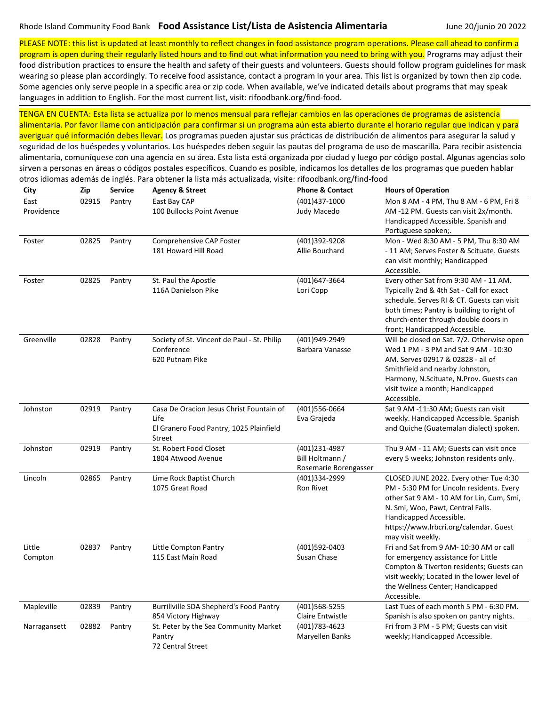PLEASE NOTE: this list is updated at least monthly to reflect changes in food assistance program operations. Please call ahead to confirm a program is open during their regularly listed hours and to find out what information you need to bring with you. Programs may adjust their

food distribution practices to ensure the health and safety of their guests and volunteers. Guests should follow program guidelines for mask wearing so please plan accordingly. To receive food assistance, contact a program in your area. This list is organized by town then zip code. Some agencies only serve people in a specific area or zip code. When available, we've indicated details about programs that may speak languages in addition to English. For the most current list, visit: rifoodbank.org/find-food.

TENGA EN CUENTA: Esta lista se actualiza por lo menos mensual para reflejar cambios en las operaciones de programas de asistencia alimentaria. Por favor llame con anticipación para confirmar si un programa aún esta abierto durante el horario regular que indican y para

averiguar qué información debes llevar. Los programas pueden ajustar sus prácticas de distribución de alimentos para asegurar la salud y seguridad de los huéspedes y voluntarios. Los huéspedes deben seguir las pautas del programa de uso de mascarilla. Para recibir asistencia alimentaria, comuníquese con una agencia en su área. Esta lista está organizada por ciudad y luego por código postal. Algunas agencias solo sirven a personas en áreas o códigos postales específicos. Cuando es posible, indicamos los detalles de los programas que pueden hablar otros idiomas además de inglés. Para obtener la lista más actualizada, visite: rifoodbank.org/find-food

| City               | Zip   | <b>Service</b> | <b>Agency &amp; Street</b>                                                                            | <b>Phone &amp; Contact</b>                                | <b>Hours of Operation</b>                                                                                                                                                                                                                                       |
|--------------------|-------|----------------|-------------------------------------------------------------------------------------------------------|-----------------------------------------------------------|-----------------------------------------------------------------------------------------------------------------------------------------------------------------------------------------------------------------------------------------------------------------|
| East<br>Providence | 02915 | Pantry         | East Bay CAP<br>100 Bullocks Point Avenue                                                             | (401)437-1000<br>Judy Macedo                              | Mon 8 AM - 4 PM, Thu 8 AM - 6 PM, Fri 8<br>AM -12 PM. Guests can visit 2x/month.<br>Handicapped Accessible. Spanish and<br>Portuguese spoken;.                                                                                                                  |
| Foster             | 02825 | Pantry         | Comprehensive CAP Foster<br>181 Howard Hill Road                                                      | (401)392-9208<br>Allie Bouchard                           | Mon - Wed 8:30 AM - 5 PM, Thu 8:30 AM<br>- 11 AM; Serves Foster & Scituate. Guests<br>can visit monthly; Handicapped<br>Accessible.                                                                                                                             |
| Foster             | 02825 | Pantry         | St. Paul the Apostle<br>116A Danielson Pike                                                           | (401)647-3664<br>Lori Copp                                | Every other Sat from 9:30 AM - 11 AM.<br>Typically 2nd & 4th Sat - Call for exact<br>schedule. Serves RI & CT. Guests can visit<br>both times; Pantry is building to right of<br>church-enter through double doors in<br>front; Handicapped Accessible.         |
| Greenville         | 02828 | Pantry         | Society of St. Vincent de Paul - St. Philip<br>Conference<br>620 Putnam Pike                          | (401)949-2949<br>Barbara Vanasse                          | Will be closed on Sat. 7/2. Otherwise open<br>Wed 1 PM - 3 PM and Sat 9 AM - 10:30<br>AM. Serves 02917 & 02828 - all of<br>Smithfield and nearby Johnston,<br>Harmony, N.Scituate, N.Prov. Guests can<br>visit twice a month; Handicapped<br>Accessible.        |
| Johnston           | 02919 | Pantry         | Casa De Oracion Jesus Christ Fountain of<br>Life<br>El Granero Food Pantry, 1025 Plainfield<br>Street | (401)556-0664<br>Eva Grajeda                              | Sat 9 AM -11:30 AM; Guests can visit<br>weekly. Handicapped Accessible. Spanish<br>and Quiche (Guatemalan dialect) spoken.                                                                                                                                      |
| Johnston           | 02919 | Pantry         | St. Robert Food Closet<br>1804 Atwood Avenue                                                          | (401)231-4987<br>Bill Holtmann /<br>Rosemarie Borengasser | Thu 9 AM - 11 AM; Guests can visit once<br>every 5 weeks; Johnston residents only.                                                                                                                                                                              |
| Lincoln            | 02865 | Pantry         | Lime Rock Baptist Church<br>1075 Great Road                                                           | (401)334-2999<br>Ron Rivet                                | CLOSED JUNE 2022. Every other Tue 4:30<br>PM - 5:30 PM for Lincoln residents. Every<br>other Sat 9 AM - 10 AM for Lin, Cum, Smi,<br>N. Smi, Woo, Pawt, Central Falls.<br>Handicapped Accessible.<br>https://www.lrbcri.org/calendar. Guest<br>may visit weekly. |
| Little<br>Compton  | 02837 | Pantry         | Little Compton Pantry<br>115 East Main Road                                                           | (401)592-0403<br>Susan Chase                              | Fri and Sat from 9 AM- 10:30 AM or call<br>for emergency assistance for Little<br>Compton & Tiverton residents; Guests can<br>visit weekly; Located in the lower level of<br>the Wellness Center; Handicapped<br>Accessible.                                    |
| Mapleville         | 02839 | Pantry         | Burrillville SDA Shepherd's Food Pantry<br>854 Victory Highway                                        | (401)568-5255<br>Claire Entwistle                         | Last Tues of each month 5 PM - 6:30 PM.<br>Spanish is also spoken on pantry nights.                                                                                                                                                                             |
| Narragansett       | 02882 | Pantry         | St. Peter by the Sea Community Market<br>Pantry<br>72 Central Street                                  | (401) 783-4623<br>Maryellen Banks                         | Fri from 3 PM - 5 PM; Guests can visit<br>weekly; Handicapped Accessible.                                                                                                                                                                                       |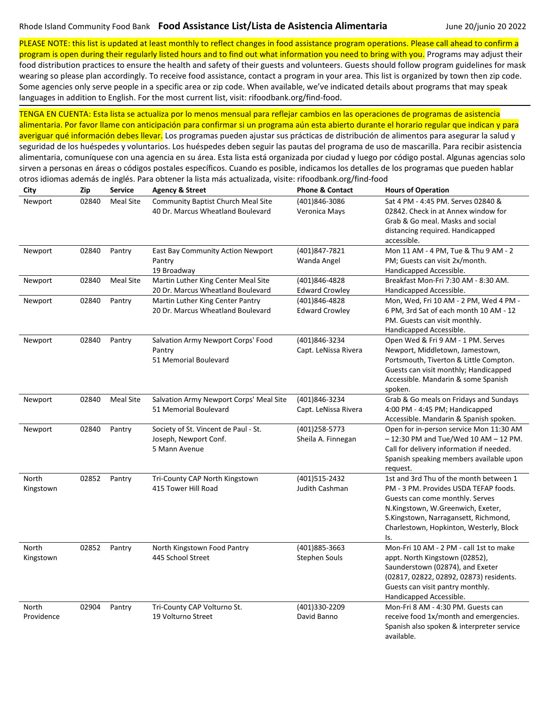PLEASE NOTE: this list is updated at least monthly to reflect changes in food assistance program operations. Please call ahead to confirm a

program is open during their regularly listed hours and to find out what information you need to bring with you. Programs may adjust their food distribution practices to ensure the health and safety of their guests and volunteers. Guests should follow program guidelines for mask wearing so please plan accordingly. To receive food assistance, contact a program in your area. This list is organized by town then zip code. Some agencies only serve people in a specific area or zip code. When available, we've indicated details about programs that may speak languages in addition to English. For the most current list, visit: rifoodbank.org/find-food.

| City                | Zip   | <b>Service</b>   | <b>Agency &amp; Street</b>                                                     | <b>Phone &amp; Contact</b>             | <b>Hours of Operation</b>                                                                                                                                                                                                                         |
|---------------------|-------|------------------|--------------------------------------------------------------------------------|----------------------------------------|---------------------------------------------------------------------------------------------------------------------------------------------------------------------------------------------------------------------------------------------------|
| Newport             | 02840 | <b>Meal Site</b> | Community Baptist Church Meal Site<br>40 Dr. Marcus Wheatland Boulevard        | (401)846-3086<br>Veronica Mays         | Sat 4 PM - 4:45 PM. Serves 02840 &<br>02842. Check in at Annex window for<br>Grab & Go meal. Masks and social<br>distancing required. Handicapped<br>accessible.                                                                                  |
| Newport             | 02840 | Pantry           | East Bay Community Action Newport<br>Pantry<br>19 Broadway                     | (401)847-7821<br>Wanda Angel           | Mon 11 AM - 4 PM, Tue & Thu 9 AM - 2<br>PM; Guests can visit 2x/month.<br>Handicapped Accessible.                                                                                                                                                 |
| Newport             | 02840 | <b>Meal Site</b> | Martin Luther King Center Meal Site<br>20 Dr. Marcus Wheatland Boulevard       | (401)846-4828<br><b>Edward Crowley</b> | Breakfast Mon-Fri 7:30 AM - 8:30 AM.<br>Handicapped Accessible.                                                                                                                                                                                   |
| Newport             | 02840 | Pantry           | Martin Luther King Center Pantry<br>20 Dr. Marcus Wheatland Boulevard          | (401)846-4828<br><b>Edward Crowley</b> | Mon, Wed, Fri 10 AM - 2 PM, Wed 4 PM -<br>6 PM, 3rd Sat of each month 10 AM - 12<br>PM. Guests can visit monthly.<br>Handicapped Accessible.                                                                                                      |
| Newport             | 02840 | Pantry           | Salvation Army Newport Corps' Food<br>Pantry<br>51 Memorial Boulevard          | (401)846-3234<br>Capt. LeNissa Rivera  | Open Wed & Fri 9 AM - 1 PM. Serves<br>Newport, Middletown, Jamestown,<br>Portsmouth, Tiverton & Little Compton.<br>Guests can visit monthly; Handicapped<br>Accessible. Mandarin & some Spanish<br>spoken.                                        |
| Newport             | 02840 | <b>Meal Site</b> | Salvation Army Newport Corps' Meal Site<br>51 Memorial Boulevard               | (401)846-3234<br>Capt. LeNissa Rivera  | Grab & Go meals on Fridays and Sundays<br>4:00 PM - 4:45 PM; Handicapped<br>Accessible. Mandarin & Spanish spoken.                                                                                                                                |
| Newport             | 02840 | Pantry           | Society of St. Vincent de Paul - St.<br>Joseph, Newport Conf.<br>5 Mann Avenue | (401)258-5773<br>Sheila A. Finnegan    | Open for in-person service Mon 11:30 AM<br>$-12:30$ PM and Tue/Wed 10 AM $-12$ PM.<br>Call for delivery information if needed.<br>Spanish speaking members available upon<br>request.                                                             |
| North<br>Kingstown  | 02852 | Pantry           | Tri-County CAP North Kingstown<br>415 Tower Hill Road                          | (401)515-2432<br>Judith Cashman        | 1st and 3rd Thu of the month between 1<br>PM - 3 PM. Provides USDA TEFAP foods.<br>Guests can come monthly. Serves<br>N.Kingstown, W.Greenwich, Exeter,<br>S.Kingstown, Narragansett, Richmond,<br>Charlestown, Hopkinton, Westerly, Block<br>ls. |
| North<br>Kingstown  | 02852 | Pantry           | North Kingstown Food Pantry<br>445 School Street                               | (401)885-3663<br>Stephen Souls         | Mon-Fri 10 AM - 2 PM - call 1st to make<br>appt. North Kingstown (02852),<br>Saunderstown (02874), and Exeter<br>(02817, 02822, 02892, 02873) residents.<br>Guests can visit pantry monthly.<br>Handicapped Accessible.                           |
| North<br>Providence | 02904 | Pantry           | Tri-County CAP Volturno St.<br>19 Volturno Street                              | (401)330-2209<br>David Banno           | Mon-Fri 8 AM - 4:30 PM. Guests can<br>receive food 1x/month and emergencies.<br>Spanish also spoken & interpreter service<br>available.                                                                                                           |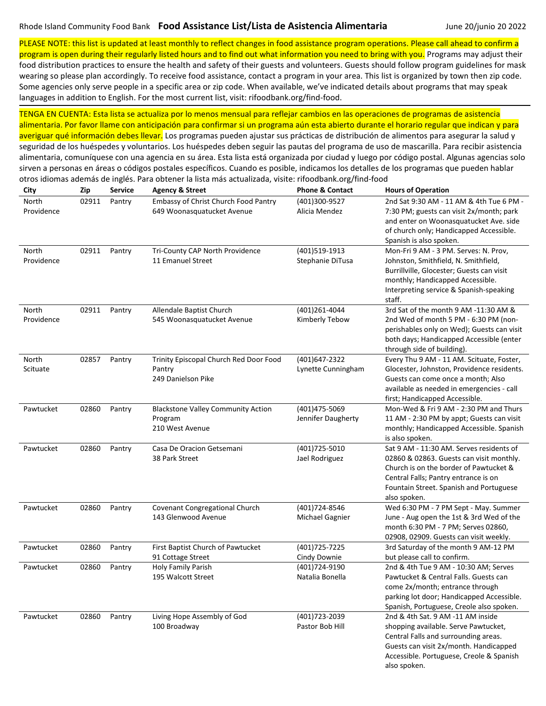PLEASE NOTE: this list is updated at least monthly to reflect changes in food assistance program operations. Please call ahead to confirm a

program is open during their regularly listed hours and to find out what information you need to bring with you. Programs may adjust their food distribution practices to ensure the health and safety of their guests and volunteers. Guests should follow program guidelines for mask wearing so please plan accordingly. To receive food assistance, contact a program in your area. This list is organized by town then zip code. Some agencies only serve people in a specific area or zip code. When available, we've indicated details about programs that may speak languages in addition to English. For the most current list, visit: rifoodbank.org/find-food.

| City                | Zip   | <b>Service</b> | <b>Agency &amp; Street</b>                                              | <b>Phone &amp; Contact</b>          | <b>Hours of Operation</b>                                                                                                                                                                                                         |
|---------------------|-------|----------------|-------------------------------------------------------------------------|-------------------------------------|-----------------------------------------------------------------------------------------------------------------------------------------------------------------------------------------------------------------------------------|
| North<br>Providence | 02911 | Pantry         | Embassy of Christ Church Food Pantry<br>649 Woonasquatucket Avenue      | (401)300-9527<br>Alicia Mendez      | 2nd Sat 9:30 AM - 11 AM & 4th Tue 6 PM -<br>7:30 PM; guests can visit 2x/month; park<br>and enter on Woonasquatucket Ave. side<br>of church only; Handicapped Accessible.<br>Spanish is also spoken.                              |
| North<br>Providence | 02911 | Pantry         | Tri-County CAP North Providence<br>11 Emanuel Street                    | (401)519-1913<br>Stephanie DiTusa   | Mon-Fri 9 AM - 3 PM. Serves: N. Prov,<br>Johnston, Smithfield, N. Smithfield,<br>Burrillville, Glocester; Guests can visit<br>monthly; Handicapped Accessible.<br>Interpreting service & Spanish-speaking<br>staff.               |
| North<br>Providence | 02911 | Pantry         | Allendale Baptist Church<br>545 Woonasquatucket Avenue                  | (401)261-4044<br>Kimberly Tebow     | 3rd Sat of the month 9 AM -11:30 AM &<br>2nd Wed of month 5 PM - 6:30 PM (non-<br>perishables only on Wed); Guests can visit<br>both days; Handicapped Accessible (enter<br>through side of building).                            |
| North<br>Scituate   | 02857 | Pantry         | Trinity Episcopal Church Red Door Food<br>Pantry<br>249 Danielson Pike  | (401)647-2322<br>Lynette Cunningham | Every Thu 9 AM - 11 AM. Scituate, Foster,<br>Glocester, Johnston, Providence residents.<br>Guests can come once a month; Also<br>available as needed in emergencies - call<br>first; Handicapped Accessible.                      |
| Pawtucket           | 02860 | Pantry         | <b>Blackstone Valley Community Action</b><br>Program<br>210 West Avenue | (401)475-5069<br>Jennifer Daugherty | Mon-Wed & Fri 9 AM - 2:30 PM and Thurs<br>11 AM - 2:30 PM by appt; Guests can visit<br>monthly; Handicapped Accessible. Spanish<br>is also spoken.                                                                                |
| Pawtucket           | 02860 | Pantry         | Casa De Oracion Getsemani<br>38 Park Street                             | (401) 725-5010<br>Jael Rodriguez    | Sat 9 AM - 11:30 AM. Serves residents of<br>02860 & 02863. Guests can visit monthly.<br>Church is on the border of Pawtucket &<br>Central Falls; Pantry entrance is on<br>Fountain Street. Spanish and Portuguese<br>also spoken. |
| Pawtucket           | 02860 | Pantry         | Covenant Congregational Church<br>143 Glenwood Avenue                   | (401)724-8546<br>Michael Gagnier    | Wed 6:30 PM - 7 PM Sept - May. Summer<br>June - Aug open the 1st & 3rd Wed of the<br>month 6:30 PM - 7 PM; Serves 02860,<br>02908, 02909. Guests can visit weekly.                                                                |
| Pawtucket           | 02860 | Pantry         | First Baptist Church of Pawtucket<br>91 Cottage Street                  | (401) 725 - 7225<br>Cindy Downie    | 3rd Saturday of the month 9 AM-12 PM<br>but please call to confirm.                                                                                                                                                               |
| Pawtucket           | 02860 | Pantry         | Holy Family Parish<br>195 Walcott Street                                | (401)724-9190<br>Natalia Bonella    | 2nd & 4th Tue 9 AM - 10:30 AM; Serves<br>Pawtucket & Central Falls. Guests can<br>come 2x/month; entrance through<br>parking lot door; Handicapped Accessible.<br>Spanish, Portuguese, Creole also spoken.                        |
| Pawtucket           | 02860 | Pantry         | Living Hope Assembly of God<br>100 Broadway                             | (401) 723 - 2039<br>Pastor Bob Hill | 2nd & 4th Sat. 9 AM -11 AM inside<br>shopping available. Serve Pawtucket,<br>Central Falls and surrounding areas.<br>Guests can visit 2x/month. Handicapped<br>Accessible. Portuguese, Creole & Spanish<br>also spoken.           |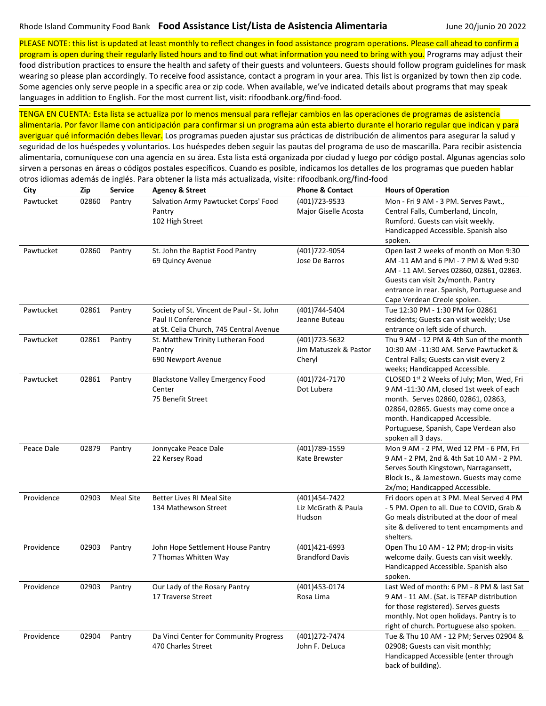PLEASE NOTE: this list is updated at least monthly to reflect changes in food assistance program operations. Please call ahead to confirm a program is open during their regularly listed hours and to find out what information you need to bring with you. Programs may adjust their

food distribution practices to ensure the health and safety of their guests and volunteers. Guests should follow program guidelines for mask wearing so please plan accordingly. To receive food assistance, contact a program in your area. This list is organized by town then zip code. Some agencies only serve people in a specific area or zip code. When available, we've indicated details about programs that may speak languages in addition to English. For the most current list, visit: rifoodbank.org/find-food.

| City       | Zip   | Service          | <b>Agency &amp; Street</b>                                                                                 | <b>Phone &amp; Contact</b>                        | <b>Hours of Operation</b>                                                                                                                                                                                                                                            |
|------------|-------|------------------|------------------------------------------------------------------------------------------------------------|---------------------------------------------------|----------------------------------------------------------------------------------------------------------------------------------------------------------------------------------------------------------------------------------------------------------------------|
| Pawtucket  | 02860 | Pantry           | Salvation Army Pawtucket Corps' Food<br>Pantry<br>102 High Street                                          | (401) 723-9533<br>Major Giselle Acosta            | Mon - Fri 9 AM - 3 PM. Serves Pawt.,<br>Central Falls, Cumberland, Lincoln,<br>Rumford. Guests can visit weekly.<br>Handicapped Accessible. Spanish also<br>spoken.                                                                                                  |
| Pawtucket  | 02860 | Pantry           | St. John the Baptist Food Pantry<br>69 Quincy Avenue                                                       | (401)722-9054<br>Jose De Barros                   | Open last 2 weeks of month on Mon 9:30<br>AM -11 AM and 6 PM - 7 PM & Wed 9:30<br>AM - 11 AM. Serves 02860, 02861, 02863.<br>Guests can visit 2x/month. Pantry<br>entrance in rear. Spanish, Portuguese and<br>Cape Verdean Creole spoken.                           |
| Pawtucket  | 02861 | Pantry           | Society of St. Vincent de Paul - St. John<br>Paul II Conference<br>at St. Celia Church, 745 Central Avenue | (401)744-5404<br>Jeanne Buteau                    | Tue 12:30 PM - 1:30 PM for 02861<br>residents; Guests can visit weekly; Use<br>entrance on left side of church.                                                                                                                                                      |
| Pawtucket  | 02861 | Pantry           | St. Matthew Trinity Lutheran Food<br>Pantry<br>690 Newport Avenue                                          | (401) 723-5632<br>Jim Matuszek & Pastor<br>Cheryl | Thu 9 AM - 12 PM & 4th Sun of the month<br>10:30 AM -11:30 AM. Serve Pawtucket &<br>Central Falls; Guests can visit every 2<br>weeks; Handicapped Accessible.                                                                                                        |
| Pawtucket  | 02861 | Pantry           | <b>Blackstone Valley Emergency Food</b><br>Center<br>75 Benefit Street                                     | (401)724-7170<br>Dot Lubera                       | CLOSED 1st 2 Weeks of July; Mon, Wed, Fri<br>9 AM -11:30 AM, closed 1st week of each<br>month. Serves 02860, 02861, 02863,<br>02864, 02865. Guests may come once a<br>month. Handicapped Accessible.<br>Portuguese, Spanish, Cape Verdean also<br>spoken all 3 days. |
| Peace Dale | 02879 | Pantry           | Jonnycake Peace Dale<br>22 Kersey Road                                                                     | (401) 789-1559<br>Kate Brewster                   | Mon 9 AM - 2 PM, Wed 12 PM - 6 PM, Fri<br>9 AM - 2 PM, 2nd & 4th Sat 10 AM - 2 PM.<br>Serves South Kingstown, Narragansett,<br>Block Is., & Jamestown. Guests may come<br>2x/mo; Handicapped Accessible.                                                             |
| Providence | 02903 | <b>Meal Site</b> | <b>Better Lives RI Meal Site</b><br>134 Mathewson Street                                                   | (401)454-7422<br>Liz McGrath & Paula<br>Hudson    | Fri doors open at 3 PM. Meal Served 4 PM<br>- 5 PM. Open to all. Due to COVID, Grab &<br>Go meals distributed at the door of meal<br>site & delivered to tent encampments and<br>shelters.                                                                           |
| Providence | 02903 | Pantry           | John Hope Settlement House Pantry<br>7 Thomas Whitten Way                                                  | (401)421-6993<br><b>Brandford Davis</b>           | Open Thu 10 AM - 12 PM; drop-in visits<br>welcome daily. Guests can visit weekly.<br>Handicapped Accessible. Spanish also<br>spoken.                                                                                                                                 |
| Providence |       | 02903 Pantry     | Our Lady of the Rosary Pantry<br>17 Traverse Street                                                        | (401) 453-0174<br>Rosa Lima                       | Last Wed of month: 6 PM - 8 PM & last Sat<br>9 AM - 11 AM. (Sat. is TEFAP distribution<br>for those registered). Serves guests<br>monthly. Not open holidays. Pantry is to<br>right of church. Portuguese also spoken.                                               |
| Providence | 02904 | Pantry           | Da Vinci Center for Community Progress<br>470 Charles Street                                               | (401) 272-7474<br>John F. DeLuca                  | Tue & Thu 10 AM - 12 PM; Serves 02904 &<br>02908; Guests can visit monthly;<br>Handicapped Accessible (enter through<br>back of building).                                                                                                                           |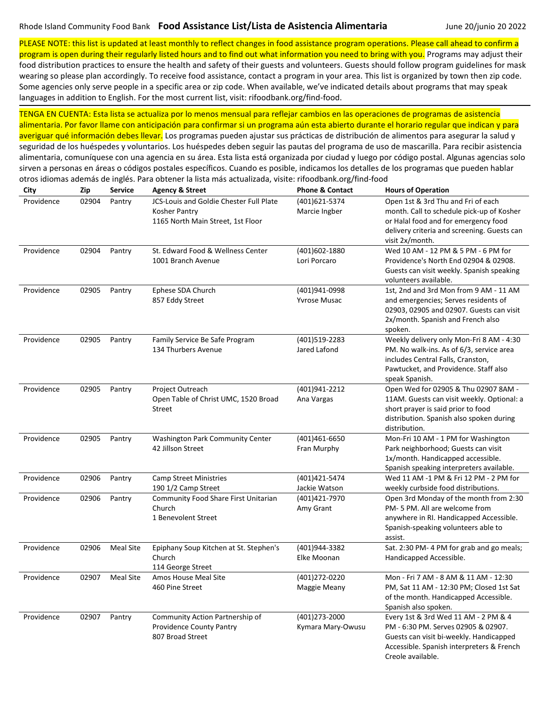otros idiomas además de inglés. Para obtener la lista más actualizada, visite: rifoodbank.org/find-food

PLEASE NOTE: this list is updated at least monthly to reflect changes in food assistance program operations. Please call ahead to confirm a

program is open during their regularly listed hours and to find out what information you need to bring with you. Programs may adjust their food distribution practices to ensure the health and safety of their guests and volunteers. Guests should follow program guidelines for mask wearing so please plan accordingly. To receive food assistance, contact a program in your area. This list is organized by town then zip code. Some agencies only serve people in a specific area or zip code. When available, we've indicated details about programs that may speak languages in addition to English. For the most current list, visit: rifoodbank.org/find-food.

| City       | Zip   | Service          | <b>Agency &amp; Street</b>                                                                    | <b>Phone &amp; Contact</b>           | <b>Hours of Operation</b>                                                                                                                                                                 |
|------------|-------|------------------|-----------------------------------------------------------------------------------------------|--------------------------------------|-------------------------------------------------------------------------------------------------------------------------------------------------------------------------------------------|
| Providence | 02904 | Pantry           | JCS-Louis and Goldie Chester Full Plate<br>Kosher Pantry<br>1165 North Main Street, 1st Floor | (401)621-5374<br>Marcie Ingber       | Open 1st & 3rd Thu and Fri of each<br>month. Call to schedule pick-up of Kosher<br>or Halal food and for emergency food<br>delivery criteria and screening. Guests can<br>visit 2x/month. |
| Providence | 02904 | Pantry           | St. Edward Food & Wellness Center<br>1001 Branch Avenue                                       | (401)602-1880<br>Lori Porcaro        | Wed 10 AM - 12 PM & 5 PM - 6 PM for<br>Providence's North End 02904 & 02908.<br>Guests can visit weekly. Spanish speaking<br>volunteers available.                                        |
| Providence | 02905 | Pantry           | Ephese SDA Church<br>857 Eddy Street                                                          | (401)941-0998<br><b>Yvrose Musac</b> | 1st, 2nd and 3rd Mon from 9 AM - 11 AM<br>and emergencies; Serves residents of<br>02903, 02905 and 02907. Guests can visit<br>2x/month. Spanish and French also<br>spoken.                |
| Providence | 02905 | Pantry           | Family Service Be Safe Program<br>134 Thurbers Avenue                                         | (401)519-2283<br>Jared Lafond        | Weekly delivery only Mon-Fri 8 AM - 4:30<br>PM. No walk-ins. As of 6/3, service area<br>includes Central Falls, Cranston,<br>Pawtucket, and Providence. Staff also<br>speak Spanish.      |
| Providence | 02905 | Pantry           | Project Outreach<br>Open Table of Christ UMC, 1520 Broad<br>Street                            | (401)941-2212<br>Ana Vargas          | Open Wed for 02905 & Thu 02907 8AM -<br>11AM. Guests can visit weekly. Optional: a<br>short prayer is said prior to food<br>distribution. Spanish also spoken during<br>distribution.     |
| Providence | 02905 | Pantry           | <b>Washington Park Community Center</b><br>42 Jillson Street                                  | (401)461-6650<br>Fran Murphy         | Mon-Fri 10 AM - 1 PM for Washington<br>Park neighborhood; Guests can visit<br>1x/month. Handicapped accessible.<br>Spanish speaking interpreters available.                               |
| Providence | 02906 | Pantry           | <b>Camp Street Ministries</b><br>190 1/2 Camp Street                                          | (401) 421 - 5474<br>Jackie Watson    | Wed 11 AM -1 PM & Fri 12 PM - 2 PM for<br>weekly curbside food distributions.                                                                                                             |
| Providence | 02906 | Pantry           | Community Food Share First Unitarian<br>Church<br>1 Benevolent Street                         | (401)421-7970<br>Amy Grant           | Open 3rd Monday of the month from 2:30<br>PM-5 PM. All are welcome from<br>anywhere in RI. Handicapped Accessible.<br>Spanish-speaking volunteers able to<br>assist.                      |
| Providence | 02906 | <b>Meal Site</b> | Epiphany Soup Kitchen at St. Stephen's<br>Church<br>114 George Street                         | (401)944-3382<br>Elke Moonan         | Sat. 2:30 PM-4 PM for grab and go meals;<br>Handicapped Accessible.                                                                                                                       |
| Providence | 02907 | <b>Meal Site</b> | Amos House Meal Site<br>460 Pine Street                                                       | (401) 272-0220<br>Maggie Meany       | Mon - Fri 7 AM - 8 AM & 11 AM - 12:30<br>PM, Sat 11 AM - 12:30 PM; Closed 1st Sat<br>of the month. Handicapped Accessible.<br>Spanish also spoken.                                        |
| Providence | 02907 | Pantry           | Community Action Partnership of<br>Providence County Pantry<br>807 Broad Street               | (401)273-2000<br>Kymara Mary-Owusu   | Every 1st & 3rd Wed 11 AM - 2 PM & 4<br>PM - 6:30 PM. Serves 02905 & 02907.<br>Guests can visit bi-weekly. Handicapped<br>Accessible. Spanish interpreters & French<br>Creole available.  |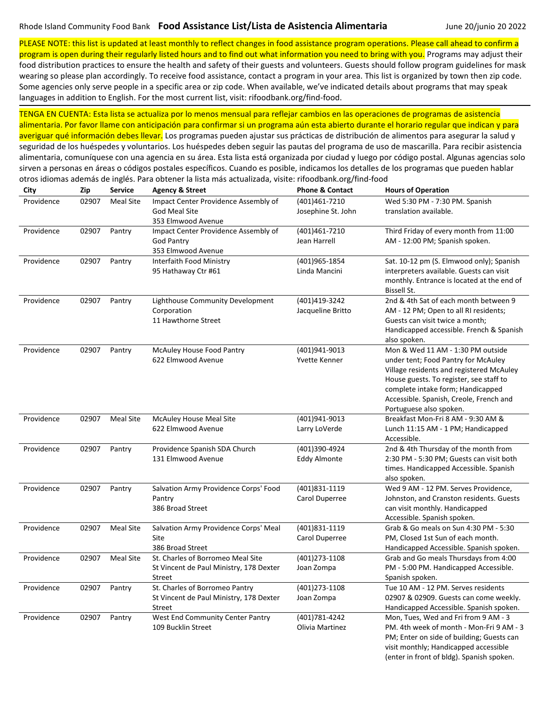otros idiomas además de inglés. Para obtener la lista más actualizada, visite: rifoodbank.org/find-food

PLEASE NOTE: this list is updated at least monthly to reflect changes in food assistance program operations. Please call ahead to confirm a

program is open during their regularly listed hours and to find out what information you need to bring with you. Programs may adjust their food distribution practices to ensure the health and safety of their guests and volunteers. Guests should follow program guidelines for mask wearing so please plan accordingly. To receive food assistance, contact a program in your area. This list is organized by town then zip code. Some agencies only serve people in a specific area or zip code. When available, we've indicated details about programs that may speak languages in addition to English. For the most current list, visit: rifoodbank.org/find-food.

| City       | Zip   | <b>Service</b>   | <b>Agency &amp; Street</b>              | <b>Phone &amp; Contact</b> | <b>Hours of Operation</b>                                                              |
|------------|-------|------------------|-----------------------------------------|----------------------------|----------------------------------------------------------------------------------------|
| Providence | 02907 | Meal Site        | Impact Center Providence Assembly of    | (401)461-7210              | Wed 5:30 PM - 7:30 PM. Spanish                                                         |
|            |       |                  | God Meal Site                           | Josephine St. John         | translation available.                                                                 |
|            |       |                  | 353 Elmwood Avenue                      |                            |                                                                                        |
| Providence | 02907 | Pantry           | Impact Center Providence Assembly of    | (401)461-7210              | Third Friday of every month from 11:00                                                 |
|            |       |                  | <b>God Pantry</b>                       | Jean Harrell               | AM - 12:00 PM; Spanish spoken.                                                         |
|            |       |                  | 353 Elmwood Avenue                      |                            |                                                                                        |
| Providence | 02907 | Pantry           | Interfaith Food Ministry                | (401)965-1854              | Sat. 10-12 pm (S. Elmwood only); Spanish                                               |
|            |       |                  | 95 Hathaway Ctr #61                     | Linda Mancini              | interpreters available. Guests can visit<br>monthly. Entrance is located at the end of |
|            |       |                  |                                         |                            | Bissell St.                                                                            |
| Providence | 02907 | Pantry           | Lighthouse Community Development        | (401)419-3242              | 2nd & 4th Sat of each month between 9                                                  |
|            |       |                  | Corporation                             | Jacqueline Britto          | AM - 12 PM; Open to all RI residents;                                                  |
|            |       |                  | 11 Hawthorne Street                     |                            | Guests can visit twice a month;                                                        |
|            |       |                  |                                         |                            | Handicapped accessible. French & Spanish                                               |
|            |       |                  |                                         |                            | also spoken.                                                                           |
| Providence | 02907 | Pantry           | McAuley House Food Pantry               | (401)941-9013              | Mon & Wed 11 AM - 1:30 PM outside                                                      |
|            |       |                  | 622 Elmwood Avenue                      | Yvette Kenner              | under tent; Food Pantry for McAuley                                                    |
|            |       |                  |                                         |                            | Village residents and registered McAuley                                               |
|            |       |                  |                                         |                            | House guests. To register, see staff to                                                |
|            |       |                  |                                         |                            | complete intake form; Handicapped                                                      |
|            |       |                  |                                         |                            | Accessible. Spanish, Creole, French and<br>Portuguese also spoken.                     |
| Providence | 02907 | Meal Site        | McAuley House Meal Site                 | (401)941-9013              | Breakfast Mon-Fri 8 AM - 9:30 AM &                                                     |
|            |       |                  | 622 Elmwood Avenue                      | Larry LoVerde              | Lunch 11:15 AM - 1 PM; Handicapped                                                     |
|            |       |                  |                                         |                            | Accessible.                                                                            |
| Providence | 02907 | Pantry           | Providence Spanish SDA Church           | (401)390-4924              | 2nd & 4th Thursday of the month from                                                   |
|            |       |                  | 131 Elmwood Avenue                      | Eddy Almonte               | 2:30 PM - 5:30 PM; Guests can visit both                                               |
|            |       |                  |                                         |                            | times. Handicapped Accessible. Spanish                                                 |
|            |       |                  |                                         |                            | also spoken.                                                                           |
| Providence | 02907 | Pantry           | Salvation Army Providence Corps' Food   | (401)831-1119              | Wed 9 AM - 12 PM. Serves Providence,                                                   |
|            |       |                  | Pantry<br>386 Broad Street              | Carol Duperree             | Johnston, and Cranston residents. Guests                                               |
|            |       |                  |                                         |                            | can visit monthly. Handicapped<br>Accessible. Spanish spoken.                          |
| Providence | 02907 | <b>Meal Site</b> | Salvation Army Providence Corps' Meal   | (401)831-1119              | Grab & Go meals on Sun 4:30 PM - 5:30                                                  |
|            |       |                  | Site                                    | Carol Duperree             | PM, Closed 1st Sun of each month.                                                      |
|            |       |                  | 386 Broad Street                        |                            | Handicapped Accessible. Spanish spoken.                                                |
| Providence | 02907 | <b>Meal Site</b> | St. Charles of Borromeo Meal Site       | (401)273-1108              | Grab and Go meals Thursdays from 4:00                                                  |
|            |       |                  | St Vincent de Paul Ministry, 178 Dexter | Joan Zompa                 | PM - 5:00 PM. Handicapped Accessible.                                                  |
|            |       |                  | Street                                  |                            | Spanish spoken.                                                                        |
| Providence | 02907 | Pantry           | St. Charles of Borromeo Pantry          | (401) 273-1108             | Tue 10 AM - 12 PM. Serves residents                                                    |
|            |       |                  | St Vincent de Paul Ministry, 178 Dexter | Joan Zompa                 | 02907 & 02909. Guests can come weekly.                                                 |
|            |       |                  | Street                                  |                            | Handicapped Accessible. Spanish spoken.                                                |
| Providence | 02907 | Pantry           | West End Community Center Pantry        | (401) 781 - 4242           | Mon, Tues, Wed and Fri from 9 AM - 3                                                   |
|            |       |                  | 109 Bucklin Street                      | Olivia Martinez            | PM. 4th week of month - Mon-Fri 9 AM - 3                                               |
|            |       |                  |                                         |                            | PM; Enter on side of building; Guests can                                              |
|            |       |                  |                                         |                            | visit monthly; Handicapped accessible<br>(enter in front of bldg). Spanish spoken.     |
|            |       |                  |                                         |                            |                                                                                        |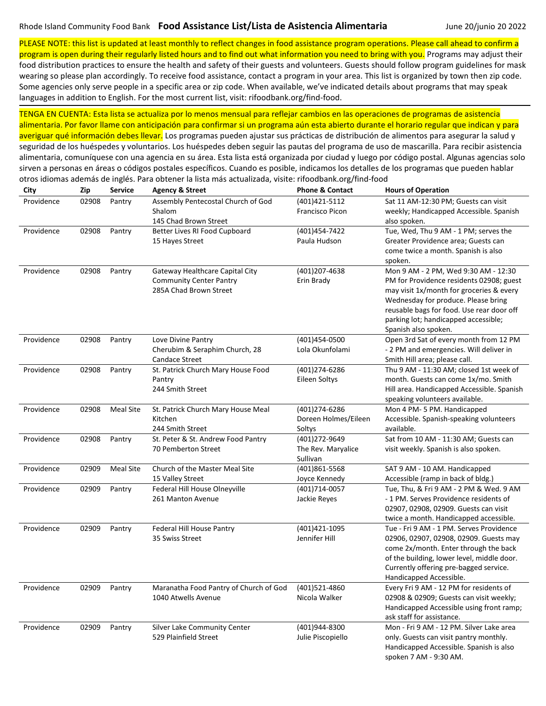PLEASE NOTE: this list is updated at least monthly to reflect changes in food assistance program operations. Please call ahead to confirm a

program is open during their regularly listed hours and to find out what information you need to bring with you. Programs may adjust their food distribution practices to ensure the health and safety of their guests and volunteers. Guests should follow program guidelines for mask wearing so please plan accordingly. To receive food assistance, contact a program in your area. This list is organized by town then zip code. Some agencies only serve people in a specific area or zip code. When available, we've indicated details about programs that may speak languages in addition to English. For the most current list, visit: rifoodbank.org/find-food.

| City       | Zip   | Service          | <b>Agency &amp; Street</b>                                                                  | <b>Phone &amp; Contact</b>                      | <b>Hours of Operation</b>                                                                                                                                                                                                                                                        |
|------------|-------|------------------|---------------------------------------------------------------------------------------------|-------------------------------------------------|----------------------------------------------------------------------------------------------------------------------------------------------------------------------------------------------------------------------------------------------------------------------------------|
| Providence | 02908 | Pantry           | Assembly Pentecostal Church of God<br>Shalom<br>145 Chad Brown Street                       | (401)421-5112<br>Francisco Picon                | Sat 11 AM-12:30 PM; Guests can visit<br>weekly; Handicapped Accessible. Spanish<br>also spoken.                                                                                                                                                                                  |
| Providence | 02908 | Pantry           | Better Lives RI Food Cupboard<br>15 Hayes Street                                            | (401) 454-7422<br>Paula Hudson                  | Tue, Wed, Thu 9 AM - 1 PM; serves the<br>Greater Providence area; Guests can<br>come twice a month. Spanish is also<br>spoken.                                                                                                                                                   |
| Providence | 02908 | Pantry           | Gateway Healthcare Capital City<br><b>Community Center Pantry</b><br>285A Chad Brown Street | (401)207-4638<br>Erin Brady                     | Mon 9 AM - 2 PM, Wed 9:30 AM - 12:30<br>PM for Providence residents 02908; guest<br>may visit 1x/month for groceries & every<br>Wednesday for produce. Please bring<br>reusable bags for food. Use rear door off<br>parking lot; handicapped accessible;<br>Spanish also spoken. |
| Providence | 02908 | Pantry           | Love Divine Pantry<br>Cherubim & Seraphim Church, 28<br><b>Candace Street</b>               | (401)454-0500<br>Lola Okunfolami                | Open 3rd Sat of every month from 12 PM<br>- 2 PM and emergencies. Will deliver in<br>Smith Hill area; please call.                                                                                                                                                               |
| Providence | 02908 | Pantry           | St. Patrick Church Mary House Food<br>Pantry<br>244 Smith Street                            | (401)274-6286<br>Eileen Soltys                  | Thu 9 AM - 11:30 AM; closed 1st week of<br>month. Guests can come 1x/mo. Smith<br>Hill area. Handicapped Accessible. Spanish<br>speaking volunteers available.                                                                                                                   |
| Providence | 02908 | <b>Meal Site</b> | St. Patrick Church Mary House Meal<br>Kitchen<br>244 Smith Street                           | (401)274-6286<br>Doreen Holmes/Eileen<br>Soltys | Mon 4 PM-5 PM. Handicapped<br>Accessible. Spanish-speaking volunteers<br>available.                                                                                                                                                                                              |
| Providence | 02908 | Pantry           | St. Peter & St. Andrew Food Pantry<br>70 Pemberton Street                                   | (401)272-9649<br>The Rev. Maryalice<br>Sullivan | Sat from 10 AM - 11:30 AM; Guests can<br>visit weekly. Spanish is also spoken.                                                                                                                                                                                                   |
| Providence | 02909 | Meal Site        | Church of the Master Meal Site<br>15 Valley Street                                          | (401)861-5568<br>Joyce Kennedy                  | SAT 9 AM - 10 AM. Handicapped<br>Accessible (ramp in back of bldg.)                                                                                                                                                                                                              |
| Providence | 02909 | Pantry           | Federal Hill House Olneyville<br>261 Manton Avenue                                          | (401)714-0057<br>Jackie Reyes                   | Tue, Thu, & Fri 9 AM - 2 PM & Wed. 9 AM<br>- 1 PM. Serves Providence residents of<br>02907, 02908, 02909. Guests can visit<br>twice a month. Handicapped accessible.                                                                                                             |
| Providence | 02909 | Pantry           | Federal Hill House Pantry<br>35 Swiss Street                                                | (401)421-1095<br>Jennifer Hill                  | Tue - Fri 9 AM - 1 PM. Serves Providence<br>02906, 02907, 02908, 02909. Guests may<br>come 2x/month. Enter through the back<br>of the building, lower level, middle door.<br>Currently offering pre-bagged service.<br>Handicapped Accessible.                                   |
| Providence | 02909 | Pantry           | Maranatha Food Pantry of Church of God<br>1040 Atwells Avenue                               | (401)521-4860<br>Nicola Walker                  | Every Fri 9 AM - 12 PM for residents of<br>02908 & 02909; Guests can visit weekly;<br>Handicapped Accessible using front ramp;<br>ask staff for assistance.                                                                                                                      |
| Providence | 02909 | Pantry           | Silver Lake Community Center<br>529 Plainfield Street                                       | (401)944-8300<br>Julie Piscopiello              | Mon - Fri 9 AM - 12 PM. Silver Lake area<br>only. Guests can visit pantry monthly.<br>Handicapped Accessible. Spanish is also<br>spoken 7 AM - 9:30 AM.                                                                                                                          |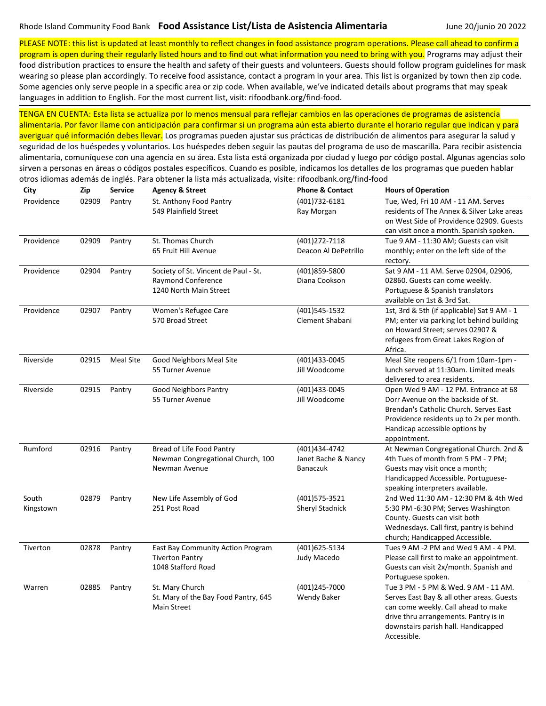otros idiomas además de inglés. Para obtener la lista más actualizada, visite: rifoodbank.org/find-food

PLEASE NOTE: this list is updated at least monthly to reflect changes in food assistance program operations. Please call ahead to confirm a program is open during their regularly listed hours and to find out what information you need to bring with you. Programs may adjust their food distribution practices to ensure the health and safety of their guests and volunteers. Guests should follow program guidelines for mask

wearing so please plan accordingly. To receive food assistance, contact a program in your area. This list is organized by town then zip code. Some agencies only serve people in a specific area or zip code. When available, we've indicated details about programs that may speak languages in addition to English. For the most current list, visit: rifoodbank.org/find-food.

| City               | Zip   | <b>Service</b>   | <b>Agency &amp; Street</b>                                                                  | <b>Phone &amp; Contact</b>                       | <b>Hours of Operation</b>                                                                                                                                                                                               |
|--------------------|-------|------------------|---------------------------------------------------------------------------------------------|--------------------------------------------------|-------------------------------------------------------------------------------------------------------------------------------------------------------------------------------------------------------------------------|
| Providence         | 02909 | Pantry           | St. Anthony Food Pantry<br>549 Plainfield Street                                            | (401) 732-6181<br>Ray Morgan                     | Tue, Wed, Fri 10 AM - 11 AM. Serves<br>residents of The Annex & Silver Lake areas<br>on West Side of Providence 02909. Guests<br>can visit once a month. Spanish spoken.                                                |
| Providence         | 02909 | Pantry           | St. Thomas Church<br>65 Fruit Hill Avenue                                                   | (401)272-7118<br>Deacon Al DePetrillo            | Tue 9 AM - 11:30 AM; Guests can visit<br>monthly; enter on the left side of the<br>rectory.                                                                                                                             |
| Providence         | 02904 | Pantry           | Society of St. Vincent de Paul - St.<br><b>Raymond Conference</b><br>1240 North Main Street | (401)859-5800<br>Diana Cookson                   | Sat 9 AM - 11 AM. Serve 02904, 02906,<br>02860. Guests can come weekly.<br>Portuguese & Spanish translators<br>available on 1st & 3rd Sat.                                                                              |
| Providence         | 02907 | Pantry           | Women's Refugee Care<br>570 Broad Street                                                    | (401)545-1532<br>Clement Shabani                 | 1st, 3rd & 5th (if applicable) Sat 9 AM - 1<br>PM; enter via parking lot behind building<br>on Howard Street; serves 02907 &<br>refugees from Great Lakes Region of<br>Africa.                                          |
| Riverside          | 02915 | <b>Meal Site</b> | Good Neighbors Meal Site<br>55 Turner Avenue                                                | (401)433-0045<br>Jill Woodcome                   | Meal Site reopens 6/1 from 10am-1pm -<br>lunch served at 11:30am. Limited meals<br>delivered to area residents.                                                                                                         |
| Riverside          | 02915 | Pantry           | <b>Good Neighbors Pantry</b><br>55 Turner Avenue                                            | (401)433-0045<br>Jill Woodcome                   | Open Wed 9 AM - 12 PM. Entrance at 68<br>Dorr Avenue on the backside of St.<br>Brendan's Catholic Church. Serves East<br>Providence residents up to 2x per month.<br>Handicap accessible options by<br>appointment.     |
| Rumford            | 02916 | Pantry           | Bread of Life Food Pantry<br>Newman Congregational Church, 100<br>Newman Avenue             | (401)434-4742<br>Janet Bache & Nancy<br>Banaczuk | At Newman Congregational Church. 2nd &<br>4th Tues of month from 5 PM - 7 PM;<br>Guests may visit once a month;<br>Handicapped Accessible. Portuguese-<br>speaking interpreters available.                              |
| South<br>Kingstown | 02879 | Pantry           | New Life Assembly of God<br>251 Post Road                                                   | (401) 575-3521<br><b>Sheryl Stadnick</b>         | 2nd Wed 11:30 AM - 12:30 PM & 4th Wed<br>5:30 PM -6:30 PM; Serves Washington<br>County. Guests can visit both<br>Wednesdays. Call first, pantry is behind<br>church; Handicapped Accessible.                            |
| Tiverton           | 02878 | Pantry           | East Bay Community Action Program<br><b>Tiverton Pantry</b><br>1048 Stafford Road           | (401)625-5134<br>Judy Macedo                     | Tues 9 AM -2 PM and Wed 9 AM - 4 PM.<br>Please call first to make an appointment.<br>Guests can visit 2x/month. Spanish and<br>Portuguese spoken.                                                                       |
| Warren             | 02885 | Pantry           | St. Mary Church<br>St. Mary of the Bay Food Pantry, 645<br>Main Street                      | (401)245-7000<br><b>Wendy Baker</b>              | Tue 3 PM - 5 PM & Wed. 9 AM - 11 AM.<br>Serves East Bay & all other areas. Guests<br>can come weekly. Call ahead to make<br>drive thru arrangements. Pantry is in<br>downstairs parish hall. Handicapped<br>Accessible. |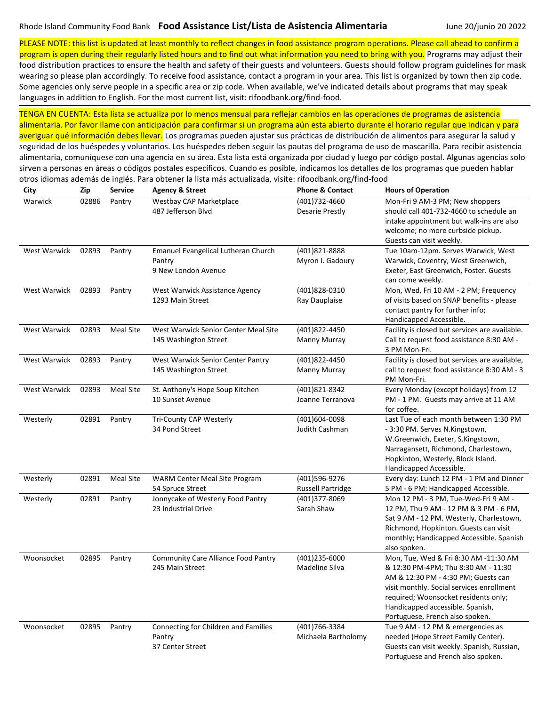PLEASE NOTE: this list is updated at least monthly to reflect changes in food assistance program operations. Please call ahead to confirm a program is open during their regularly listed hours and to find out what information you need to bring with you. Programs may adjust their

food distribution practices to ensure the health and safety of their guests and volunteers. Guests should follow program guidelines for mask wearing so please plan accordingly. To receive food assistance, contact a program in your area. This list is organized by town then zip code. Some agencies only serve people in a specific area or zip code. When available, we've indicated details about programs that may speak languages in addition to English. For the most current list, visit: rifoodbank.org/find-food.

| City                | Zip   | <b>Service</b>   | <b>Agency &amp; Street</b>                                           | <b>Phone &amp; Contact</b>                | <b>Hours of Operation</b>                                                                                                                                                                                                                                                       |
|---------------------|-------|------------------|----------------------------------------------------------------------|-------------------------------------------|---------------------------------------------------------------------------------------------------------------------------------------------------------------------------------------------------------------------------------------------------------------------------------|
| Warwick             | 02886 | Pantry           | Westbay CAP Marketplace<br>487 Jefferson Blvd                        | (401)732-4660<br><b>Desarie Prestly</b>   | Mon-Fri 9 AM-3 PM; New shoppers<br>should call 401-732-4660 to schedule an<br>intake appointment but walk-ins are also<br>welcome; no more curbside pickup.<br>Guests can visit weekly.                                                                                         |
| West Warwick        | 02893 | Pantry           | Emanuel Evangelical Lutheran Church<br>Pantry<br>9 New London Avenue | (401)821-8888<br>Myron I. Gadoury         | Tue 10am-12pm. Serves Warwick, West<br>Warwick, Coventry, West Greenwich,<br>Exeter, East Greenwich, Foster. Guests<br>can come weekly.                                                                                                                                         |
| West Warwick        | 02893 | Pantry           | West Warwick Assistance Agency<br>1293 Main Street                   | (401)828-0310<br>Ray Dauplaise            | Mon, Wed, Fri 10 AM - 2 PM; Frequency<br>of visits based on SNAP benefits - please<br>contact pantry for further info;<br>Handicapped Accessible.                                                                                                                               |
| West Warwick        | 02893 | <b>Meal Site</b> | West Warwick Senior Center Meal Site<br>145 Washington Street        | (401)822-4450<br>Manny Murray             | Facility is closed but services are available.<br>Call to request food assistance 8:30 AM -<br>3 PM Mon-Fri.                                                                                                                                                                    |
| West Warwick        | 02893 | Pantry           | West Warwick Senior Center Pantry<br>145 Washington Street           | (401)822-4450<br>Manny Murray             | Facility is closed but services are available,<br>call to request food assistance 8:30 AM - 3<br>PM Mon-Fri.                                                                                                                                                                    |
| <b>West Warwick</b> | 02893 | <b>Meal Site</b> | St. Anthony's Hope Soup Kitchen<br>10 Sunset Avenue                  | (401)821-8342<br>Joanne Terranova         | Every Monday (except holidays) from 12<br>PM - 1 PM. Guests may arrive at 11 AM<br>for coffee.                                                                                                                                                                                  |
| Westerly            | 02891 | Pantry           | Tri-County CAP Westerly<br>34 Pond Street                            | (401)604-0098<br>Judith Cashman           | Last Tue of each month between 1:30 PM<br>- 3:30 PM. Serves N.Kingstown,<br>W.Greenwich, Exeter, S.Kingstown,<br>Narragansett, Richmond, Charlestown,<br>Hopkinton, Westerly, Block Island.<br>Handicapped Accessible.                                                          |
| Westerly            | 02891 | <b>Meal Site</b> | WARM Center Meal Site Program<br>54 Spruce Street                    | (401)596-9276<br><b>Russell Partridge</b> | Every day: Lunch 12 PM - 1 PM and Dinner<br>5 PM - 6 PM; Handicapped Accessible.                                                                                                                                                                                                |
| Westerly            | 02891 | Pantry           | Jonnycake of Westerly Food Pantry<br>23 Industrial Drive             | (401)377-8069<br>Sarah Shaw               | Mon 12 PM - 3 PM, Tue-Wed-Fri 9 AM -<br>12 PM, Thu 9 AM - 12 PM & 3 PM - 6 PM,<br>Sat 9 AM - 12 PM. Westerly, Charlestown,<br>Richmond, Hopkinton. Guests can visit<br>monthly; Handicapped Accessible. Spanish<br>also spoken.                                                 |
| Woonsocket          | 02895 | Pantry           | <b>Community Care Alliance Food Pantry</b><br>245 Main Street        | (401)235-6000<br>Madeline Silva           | Mon, Tue, Wed & Fri 8:30 AM -11:30 AM<br>& 12:30 PM-4PM; Thu 8:30 AM - 11:30<br>AM & 12:30 PM - 4:30 PM; Guests can<br>visit monthly. Social services enrollment<br>required; Woonsocket residents only;<br>Handicapped accessible. Spanish,<br>Portuguese, French also spoken. |
| Woonsocket          | 02895 | Pantry           | Connecting for Children and Families<br>Pantry<br>37 Center Street   | (401)766-3384<br>Michaela Bartholomy      | Tue 9 AM - 12 PM & emergencies as<br>needed (Hope Street Family Center).<br>Guests can visit weekly. Spanish, Russian,<br>Portuguese and French also spoken.                                                                                                                    |